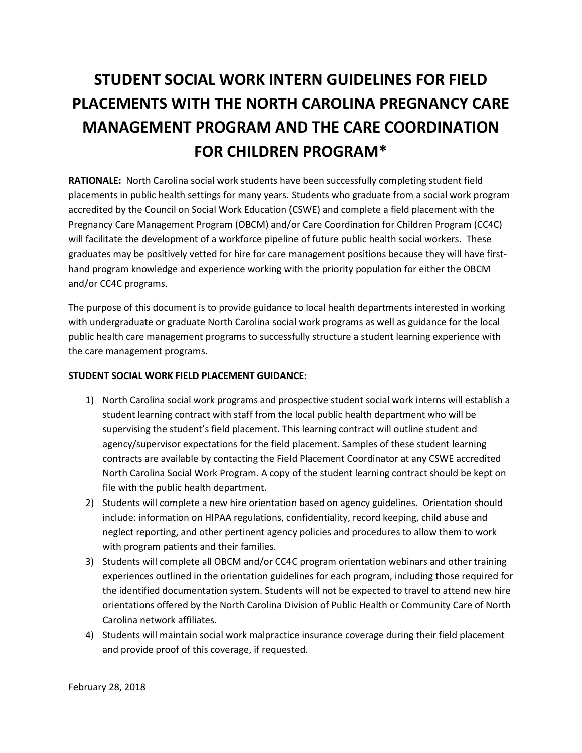## **STUDENT SOCIAL WORK INTERN GUIDELINES FOR FIELD PLACEMENTS WITH THE NORTH CAROLINA PREGNANCY CARE MANAGEMENT PROGRAM AND THE CARE COORDINATION FOR CHILDREN PROGRAM\***

**RATIONALE:** North Carolina social work students have been successfully completing student field placements in public health settings for many years. Students who graduate from a social work program accredited by the Council on Social Work Education (CSWE) and complete a field placement with the Pregnancy Care Management Program (OBCM) and/or Care Coordination for Children Program (CC4C) will facilitate the development of a workforce pipeline of future public health social workers. These graduates may be positively vetted for hire for care management positions because they will have firsthand program knowledge and experience working with the priority population for either the OBCM and/or CC4C programs.

The purpose of this document is to provide guidance to local health departments interested in working with undergraduate or graduate North Carolina social work programs as well as guidance for the local public health care management programs to successfully structure a student learning experience with the care management programs.

## **STUDENT SOCIAL WORK FIELD PLACEMENT GUIDANCE:**

- 1) North Carolina social work programs and prospective student social work interns will establish a student learning contract with staff from the local public health department who will be supervising the student's field placement. This learning contract will outline student and agency/supervisor expectations for the field placement. Samples of these student learning contracts are available by contacting the Field Placement Coordinator at any CSWE accredited North Carolina Social Work Program. A copy of the student learning contract should be kept on file with the public health department.
- 2) Students will complete a new hire orientation based on agency guidelines. Orientation should include: information on HIPAA regulations, confidentiality, record keeping, child abuse and neglect reporting, and other pertinent agency policies and procedures to allow them to work with program patients and their families.
- 3) Students will complete all OBCM and/or CC4C program orientation webinars and other training experiences outlined in the orientation guidelines for each program, including those required for the identified documentation system. Students will not be expected to travel to attend new hire orientations offered by the North Carolina Division of Public Health or Community Care of North Carolina network affiliates.
- 4) Students will maintain social work malpractice insurance coverage during their field placement and provide proof of this coverage, if requested.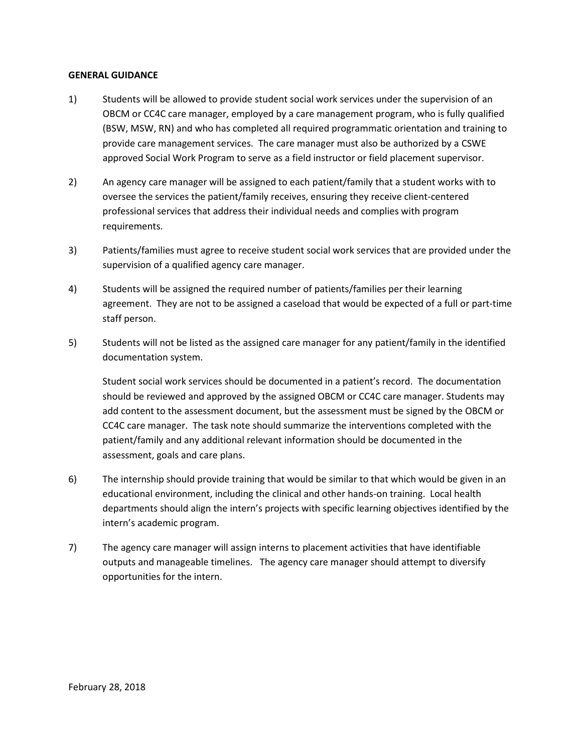## **GENERAL GUIDANCE**

- 1) Students will be allowed to provide student social work services under the supervision of an OBCM or CC4C care manager, employed by a care management program, who is fully qualified (BSW, MSW, RN) and who has completed all required programmatic orientation and training to provide care management services. The care manager must also be authorized by a CSWE approved Social Work Program to serve as a field instructor or field placement supervisor.
- 2) An agency care manager will be assigned to each patient/family that a student works with to oversee the services the patient/family receives, ensuring they receive client-centered professional services that address their individual needs and complies with program requirements.
- 3) Patients/families must agree to receive student social work services that are provided under the supervision of a qualified agency care manager.
- 4) Students will be assigned the required number of patients/families per their learning agreement. They are not to be assigned a caseload that would be expected of a full or part-time staff person.
- 5) Students will not be listed as the assigned care manager for any patient/family in the identified documentation system.

Student social work services should be documented in a patient's record. The documentation should be reviewed and approved by the assigned OBCM or CC4C care manager. Students may add content to the assessment document, but the assessment must be signed by the OBCM or CC4C care manager. The task note should summarize the interventions completed with the patient/family and any additional relevant information should be documented in the assessment, goals and care plans.

- 6) The internship should provide training that would be similar to that which would be given in an educational environment, including the clinical and other hands-on training. Local health departments should align the intern's projects with specific learning objectives identified by the intern's academic program.
- 7) The agency care manager will assign interns to placement activities that have identifiable outputs and manageable timelines. The agency care manager should attempt to diversify opportunities for the intern.